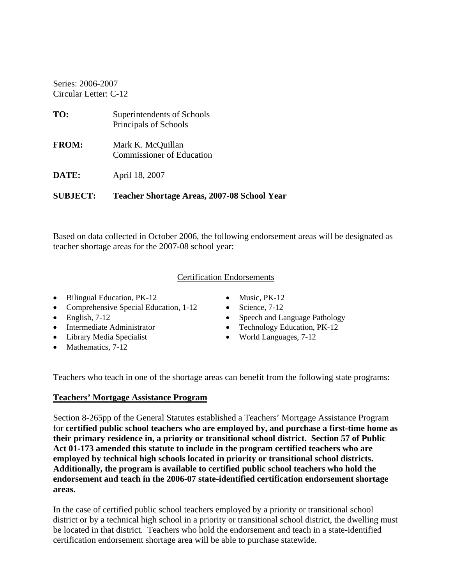Series: 2006-2007 Circular Letter: C-12

| <b>SUBJECT:</b> | Teacher Shortage Areas, 2007-08 School Year           |
|-----------------|-------------------------------------------------------|
| DATE:           | April 18, 2007                                        |
| <b>FROM:</b>    | Mark K. McQuillan<br><b>Commissioner of Education</b> |
| TO:             | Superintendents of Schools<br>Principals of Schools   |

Based on data collected in October 2006, the following endorsement areas will be designated as teacher shortage areas for the 2007-08 school year:

#### Certification Endorsements

- Bilingual Education, PK-12 Music, PK-12
- Comprehensive Special Education, 1-12 Science, 7-12
- 
- 
- Library Media Specialist World Languages, 7-12
- Mathematics, 7-12
- 
- 
- English, 7-12 Speech and Language Pathology
- Intermediate Administrator Technology Education, PK-12
	-

Teachers who teach in one of the shortage areas can benefit from the following state programs:

### **Teachers' Mortgage Assistance Program**

Section 8-265pp of the General Statutes established a Teachers' Mortgage Assistance Program for **certified public school teachers who are employed by, and purchase a first-time home as their primary residence in, a priority or transitional school district. Section 57 of Public Act 01-173 amended this statute to include in the program certified teachers who are employed by technical high schools located in priority or transitional school districts. Additionally, the program is available to certified public school teachers who hold the endorsement and teach in the 2006-07 state-identified certification endorsement shortage areas.** 

In the case of certified public school teachers employed by a priority or transitional school district or by a technical high school in a priority or transitional school district, the dwelling must be located in that district. Teachers who hold the endorsement and teach in a state-identified certification endorsement shortage area will be able to purchase statewide.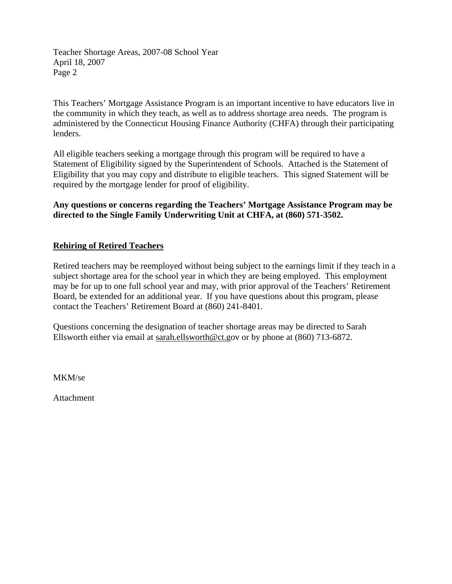Teacher Shortage Areas, 2007-08 School Year April 18, 2007 Page 2

This Teachers' Mortgage Assistance Program is an important incentive to have educators live in the community in which they teach, as well as to address shortage area needs. The program is administered by the Connecticut Housing Finance Authority (CHFA) through their participating lenders.

All eligible teachers seeking a mortgage through this program will be required to have a Statement of Eligibility signed by the Superintendent of Schools. Attached is the Statement of Eligibility that you may copy and distribute to eligible teachers. This signed Statement will be required by the mortgage lender for proof of eligibility.

**Any questions or concerns regarding the Teachers' Mortgage Assistance Program may be directed to the Single Family Underwriting Unit at CHFA, at (860) 571-3502.** 

### **Rehiring of Retired Teachers**

Retired teachers may be reemployed without being subject to the earnings limit if they teach in a subject shortage area for the school year in which they are being employed. This employment may be for up to one full school year and may, with prior approval of the Teachers' Retirement Board, be extended for an additional year. If you have questions about this program, please contact the Teachers' Retirement Board at (860) 241-8401.

Questions concerning the designation of teacher shortage areas may be directed to Sarah Ellsworth either via email at sarah.ellsworth@ct.gov or by phone at (860) 713-6872.

MKM/se

Attachment